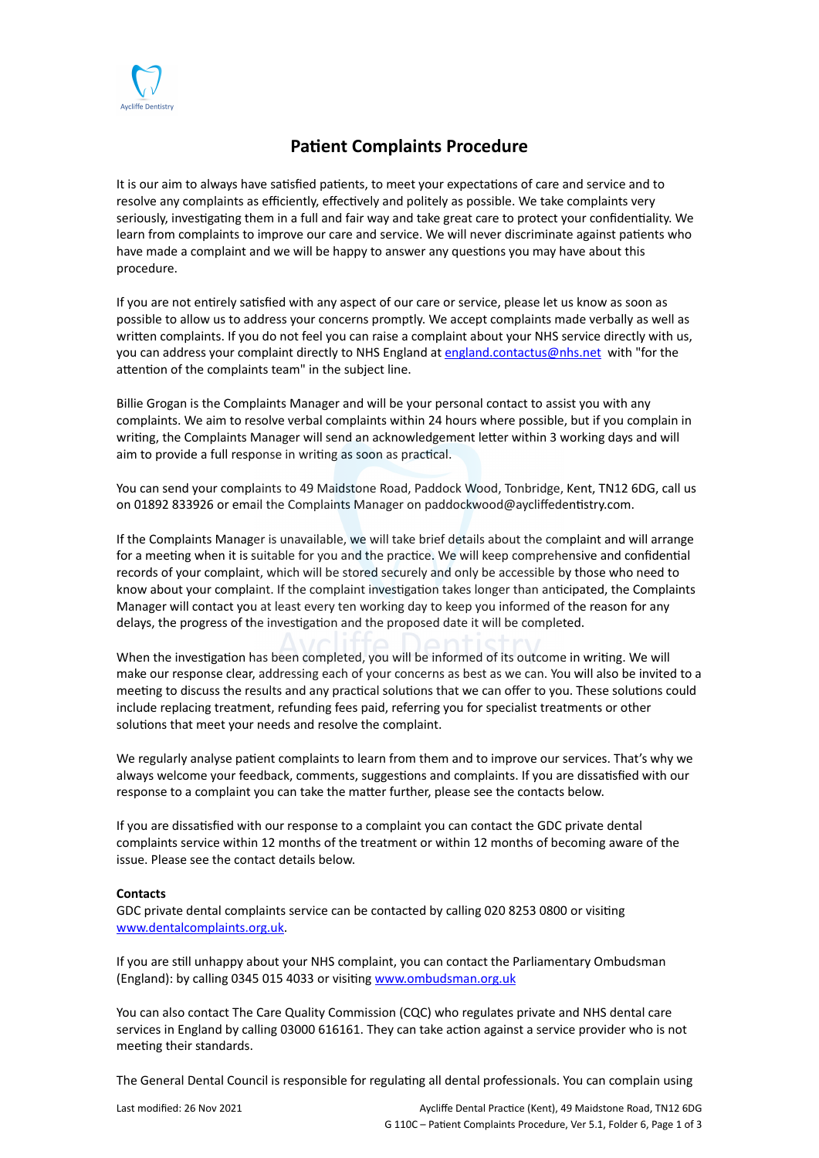

## **Patient Complaints Procedure**

It is our aim to always have satisfied patients, to meet your expectations of care and service and to resolve any complaints as efficiently, effectively and politely as possible. We take complaints very seriously, investigating them in a full and fair way and take great care to protect your confidentiality. We learn from complaints to improve our care and service. We will never discriminate against patients who have made a complaint and we will be happy to answer any questions you may have about this procedure.

If you are not entirely satisfied with any aspect of our care or service, please let us know as soon as possible to allow us to address your concerns promptly. We accept complaints made verbally as well as written complaints. If you do not feel you can raise a complaint about your NHS service directly with us, you can address your complaint directly to NHS England at [england.contactus@nhs.net](mailto:england.contactus@nhs.net) with "for the attention of the complaints team" in the subject line.

Billie Grogan is the Complaints Manager and will be your personal contact to assist you with any complaints. We aim to resolve verbal complaints within 24 hours where possible, but if you complain in writing, the Complaints Manager will send an acknowledgement letter within 3 working days and will aim to provide a full response in writing as soon as practical.

You can send your complaints to 49 Maidstone Road, Paddock Wood, Tonbridge, Kent, TN12 6DG, call us on 01892 833926 or email the Complaints Manager on paddockwood@aycliffedentistry.com.

If the Complaints Manager is unavailable, we will take brief details about the complaint and will arrange for a meeting when it is suitable for you and the practice. We will keep comprehensive and confidential records of your complaint, which will be stored securely and only be accessible by those who need to know about your complaint. If the complaint investigation takes longer than anticipated, the Complaints Manager will contact you at least every ten working day to keep you informed of the reason for any delays, the progress of the investigation and the proposed date it will be completed.

When the investigation has been completed, you will be informed of its outcome in writing. We will make our response clear, addressing each of your concerns as best as we can. You will also be invited to a meeting to discuss the results and any practical solutions that we can offer to you. These solutions could include replacing treatment, refunding fees paid, referring you for specialist treatments or other solutions that meet your needs and resolve the complaint.

We regularly analyse patient complaints to learn from them and to improve our services. That's why we always welcome your feedback, comments, suggestions and complaints. If you are dissatisfied with our response to a complaint you can take the matter further, please see the contacts below.

If you are dissatisfied with our response to a complaint you can contact the GDC private dental complaints service within 12 months of the treatment or within 12 months of becoming aware of the issue. Please see the contact details below.

## **Contacts**

GDC private dental complaints service can be contacted by calling 020 8253 0800 or visiting [www.dentalcomplaints.org.uk.](http://www.dentalcomplaints.org.uk/)

If you are still unhappy about your NHS complaint, you can contact the Parliamentary Ombudsman (England): by calling 0345 015 4033 or visiting [www.ombudsman.org.uk](http://www.ombudman.org.uk/)

You can also contact The Care Quality Commission (CQC) who regulates private and NHS dental care services in England by calling 03000 616161. They can take action against a service provider who is not meeting their standards.

The General Dental Council is responsible for regulating all dental professionals. You can complain using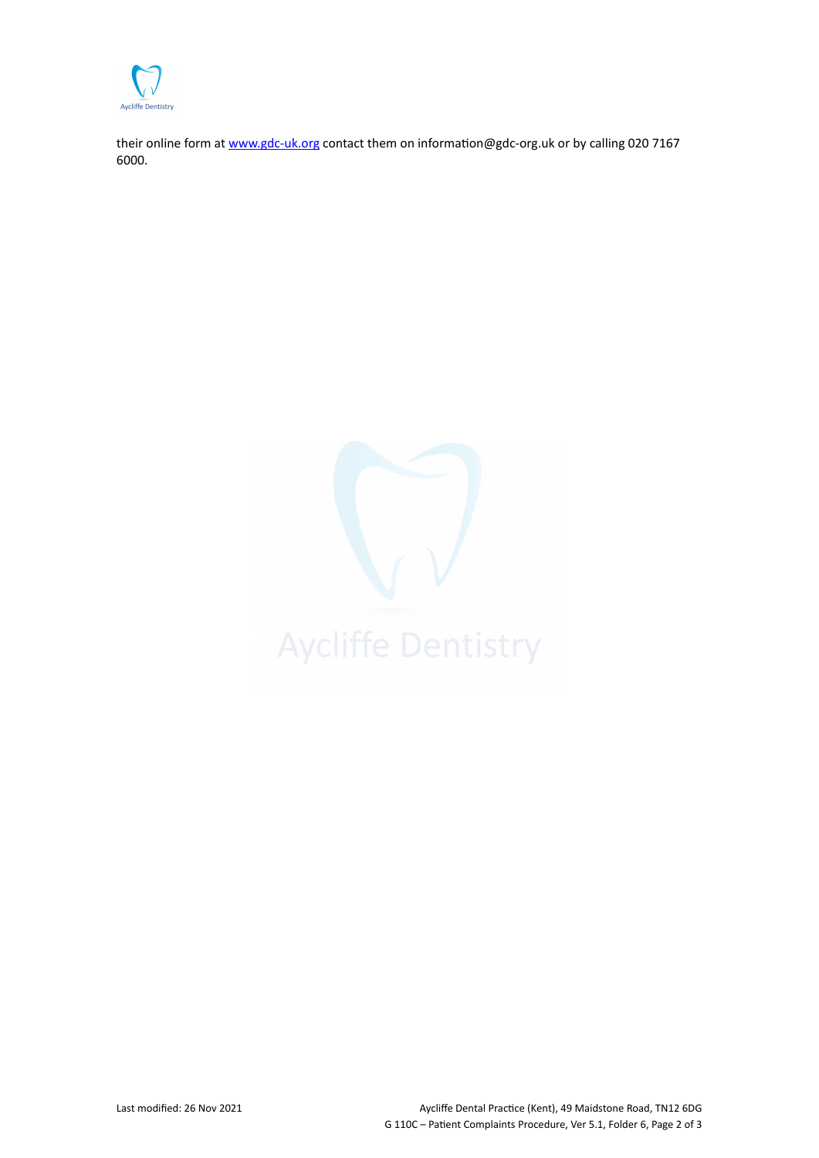

their online form at [www.gdc-uk.org](http://contactus.gdc-uk.org/Enquiry/SelectType) contact them on information@gdc-org.uk or by calling 020 7167 6000.